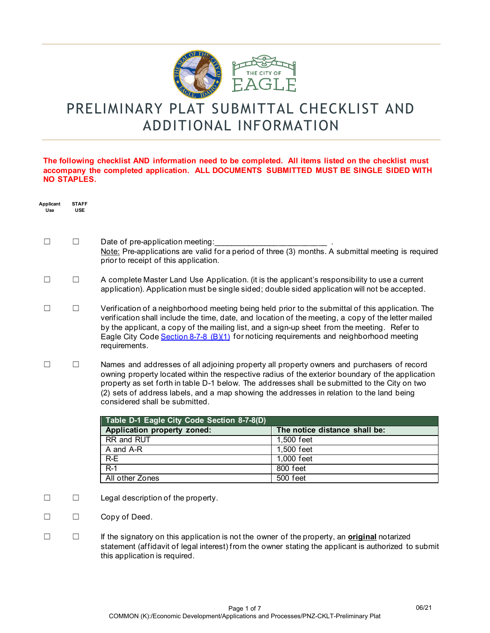

# PRELIMINARY PLAT SUBMITTAL CHECKLIST AND ADDITIONAL INFORMATION

### **The following checklist AND information need to be completed. All items listed on the checklist must accompany the completed application. ALL DOCUMENTS SUBMITTED MUST BE SINGLE SIDED WITH NO STAPLES.**

| Applicant<br>Use | <b>STAFF</b><br><b>USE</b> |                                                                                                                                                                                                                                                                                                                                                                                                                                |                               |  |
|------------------|----------------------------|--------------------------------------------------------------------------------------------------------------------------------------------------------------------------------------------------------------------------------------------------------------------------------------------------------------------------------------------------------------------------------------------------------------------------------|-------------------------------|--|
| $\mathsf{L}$     | П                          | Date of pre-application meeting:<br>Note: Pre-applications are valid for a period of three (3) months. A submittal meeting is required<br>prior to receipt of this application.                                                                                                                                                                                                                                                |                               |  |
| $\Box$           | $\Box$                     | A complete Master Land Use Application. (it is the applicant's responsibility to use a current<br>application). Application must be single sided; double sided application will not be accepted.                                                                                                                                                                                                                               |                               |  |
|                  | $\Box$                     | Verification of a neighborhood meeting being held prior to the submittal of this application. The<br>verification shall include the time, date, and location of the meeting, a copy of the letter mailed<br>by the applicant, a copy of the mailing list, and a sign-up sheet from the meeting. Refer to<br>Eagle City Code Section 8-7-8 (B)(1) for noticing requirements and neighborhood meeting<br>requirements.           |                               |  |
| $\Box$           | $\Box$                     | Names and addresses of all adjoining property all property owners and purchasers of record<br>owning property located within the respective radius of the exterior boundary of the application<br>property as set forth in table D-1 below. The addresses shall be submitted to the City on two<br>(2) sets of address labels, and a map showing the addresses in relation to the land being<br>considered shall be submitted. |                               |  |
|                  |                            | Table D-1 Eagle City Code Section 8-7-8(D)                                                                                                                                                                                                                                                                                                                                                                                     |                               |  |
|                  |                            | Application property zoned:                                                                                                                                                                                                                                                                                                                                                                                                    | The notice distance shall be: |  |
|                  |                            | RR and RUT                                                                                                                                                                                                                                                                                                                                                                                                                     | 1,500 feet                    |  |
|                  |                            | A and A-R                                                                                                                                                                                                                                                                                                                                                                                                                      | 1,500 feet                    |  |
|                  |                            | $R-E$                                                                                                                                                                                                                                                                                                                                                                                                                          | 1,000 feet                    |  |
|                  |                            | $R-1$                                                                                                                                                                                                                                                                                                                                                                                                                          | 800 feet                      |  |
|                  |                            | All other Zones                                                                                                                                                                                                                                                                                                                                                                                                                | 500 feet                      |  |
| П                | $\Box$                     | Legal description of the property.                                                                                                                                                                                                                                                                                                                                                                                             |                               |  |
|                  | П                          | Copy of Deed.                                                                                                                                                                                                                                                                                                                                                                                                                  |                               |  |

☐ ☐ If the signatory on this application is not the owner of the property, an **original** notarized statement (affidavit of legal interest) from the owner stating the applicant is authorized to submit this application is required.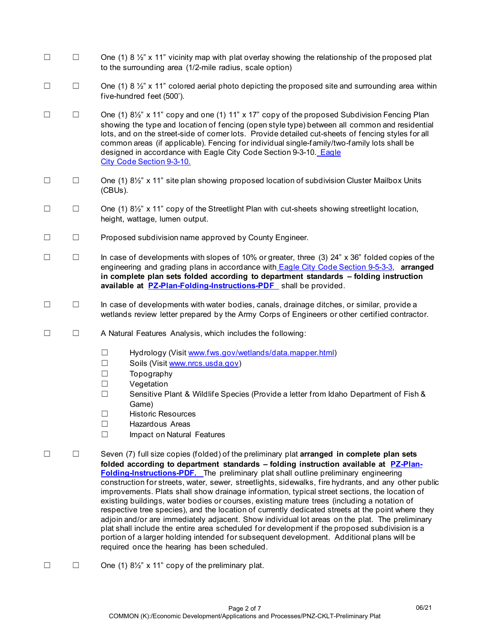- $\Box$  One (1) 8 ½" x 11" vicinity map with plat overlay showing the relationship of the proposed plat to the surrounding area (1/2-mile radius, scale option)
- $\Box$  One (1) 8  $\frac{1}{2}$  x 11" colored aerial photo depicting the proposed site and surrounding area within five-hundred feet (500').
- ☐ ☐ One (1) 8½" x 11" copy and one (1) 11" x 17" copy of the proposed Subdivision Fencing Plan showing the type and location of fencing (open style type) between all common and residential lots, and on the street-side of corner lots. Provide detailed cut-sheets of fencing styles for all common areas (if applicable). Fencing for individual single-family/two-family lots shall be designed in accordance with [Eagle](https://codelibrary.amlegal.com/codes/eagleid/latest/eagle_id/0-0-0-4957) City Code Section 9-3-10. Eagle [City Code Section 9-3-10.](https://codelibrary.amlegal.com/codes/eagleid/latest/eagle_id/0-0-0-4957)
- ☐ ☐ One (1) 8½" x 11" site plan showing proposed location of subdivision Cluster Mailbox Units (CBUs).
- ☐ ☐ One (1) 8½" x 11" copy of the Streetlight Plan with cut-sheets showing streetlight location, height, wattage, lumen output.
- ☐ ☐ Proposed subdivision name approved by County Engineer.
- ☐ ☐ In case of developments with slopes of 10% or greater, three (3) 24" x 36" folded copies of the engineering and grading plans in accordance with [Eagle City Code Section 9-5-3-3,](https://codelibrary.amlegal.com/codes/eagleid/latest/eagle_id/0-0-0-5146) **arranged in complete plan sets folded according to department standards – folding instruction available at [PZ-Plan-Folding-Instructions-PDF](http://www.cityofeagle.org/DocumentCenter/View/3626/PZ-Plan-Folding-Instructions-PDF?bidId=)** shall be provided.
- ☐ ☐ In case of developments with water bodies, canals, drainage ditches, or similar, provide a wetlands review letter prepared by the Army Corps of Engineers or other certified contractor.
- ☐ ☐ A Natural Features Analysis, which includes the following:
	- ☐ Hydrology (Visit [www.fws.gov/wetlands/data.mapper.html\)](http://www.fws.gov/wetlands/data/mapper.html)
	- ☐ Soils (Visit [www.nrcs.usda.gov\)](http://www.nrcs.usda.gov/)
	- ☐ Topography
	- ☐ Vegetation
	- ☐ Sensitive Plant & Wildlife Species (Provide a letter from Idaho Department of Fish & Game)
	- ☐ Historic Resources
	- ☐ Hazardous Areas
	- ☐ Impact on Natural Features
- ☐ ☐ Seven (7) full size copies (folded) of the preliminary plat **arranged in complete plan sets folded according to department standards – folding instruction available at [PZ-Plan-](http://www.cityofeagle.org/DocumentCenter/View/3626/PZ-Plan-Folding-Instructions-PDF?bidId=)[Folding-Instructions-PDF.](http://www.cityofeagle.org/DocumentCenter/View/3626/PZ-Plan-Folding-Instructions-PDF?bidId=)** The preliminary plat shall outline preliminary engineering construction for streets, water, sewer, streetlights, sidewalks, fire hydrants, and any other public improvements. Plats shall show drainage information, typical street sections, the location of existing buildings, water bodies or courses, existing mature trees (including a notation of respective tree species), and the location of currently dedicated streets at the point where they adjoin and/or are immediately adjacent. Show individual lot areas on the plat. The preliminary plat shall include the entire area scheduled for development if the proposed subdivision is a portion of a larger holding intended for subsequent development. Additional plans will be required once the hearing has been scheduled.
- $\Box$   $\Box$  One (1) 8<sup>1</sup>/<sub>2</sub>" x 11" copy of the preliminary plat.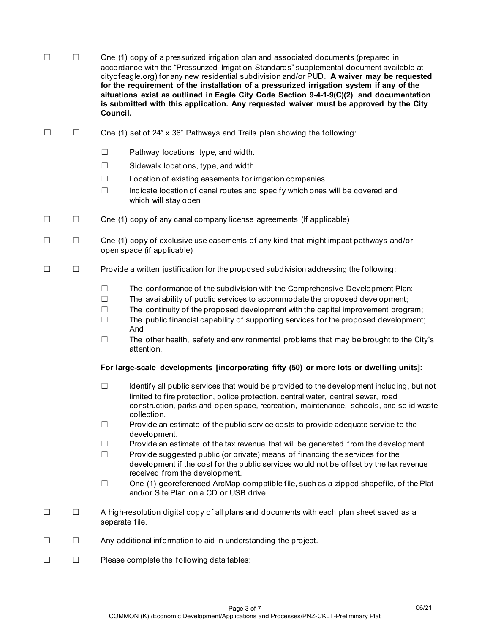| П | One (1) copy of a pressurized irrigation plan and associated documents (prepared in<br>accordance with the "Pressurized Irrigation Standards" supplemental document available at<br>cityofeagle.org) for any new residential subdivision and/or PUD. A waiver may be requested<br>for the requirement of the installation of a pressurized irrigation system if any of the<br>situations exist as outlined in Eagle City Code Section 9-4-1-9(C)(2) and documentation<br>is submitted with this application. Any requested waiver must be approved by the City |
|---|----------------------------------------------------------------------------------------------------------------------------------------------------------------------------------------------------------------------------------------------------------------------------------------------------------------------------------------------------------------------------------------------------------------------------------------------------------------------------------------------------------------------------------------------------------------|
|   | Council.                                                                                                                                                                                                                                                                                                                                                                                                                                                                                                                                                       |

- $\Box$  One (1) set of 24" x 36" Pathways and Trails plan showing the following:
	- ☐ Pathway locations, type, and width.
	- ☐ Sidewalk locations, type, and width.
	- ☐ Location of existing easements for irrigation companies.
	- $\Box$  Indicate location of canal routes and specify which ones will be covered and which will stay open
- ☐ ☐ One (1) copy of any canal company license agreements (If applicable)
- ☐ ☐ One (1) copy of exclusive use easements of any kind that might impact pathways and/or open space (if applicable)
- ☐ ☐ Provide a written justification for the proposed subdivision addressing the following:
	- $\Box$  The conformance of the subdivision with the Comprehensive Development Plan;
	- ☐ The availability of public services to accommodate the proposed development;
	- $\Box$  The continuity of the proposed development with the capital improvement program;
	- $\Box$  The public financial capability of supporting services for the proposed development; And
	- $\Box$  The other health, safety and environmental problems that may be brought to the City's attention.

#### **For large-scale developments [incorporating fifty (50) or more lots or dwelling units]:**

- $\Box$  Identify all public services that would be provided to the development including, but not limited to fire protection, police protection, central water, central sewer, road construction, parks and open space, recreation, maintenance, schools, and solid waste collection.
- $\Box$  Provide an estimate of the public service costs to provide adequate service to the development.
- ☐ Provide an estimate of the tax revenue that will be generated from the development.
- ☐ Provide suggested public (or private) means of financing the services for the development if the cost for the public services would not be offset by the tax revenue received from the development.
- ☐ One (1) georeferenced ArcMap-compatible file, such as a zipped shapefile, of the Plat and/or Site Plan on a CD or USB drive.
- ☐ ☐ A high-resolution digital copy of all plans and documents with each plan sheet saved as a separate file.
- ☐ ☐ Any additional information to aid in understanding the project.
- ☐ ☐ Please complete the following data tables: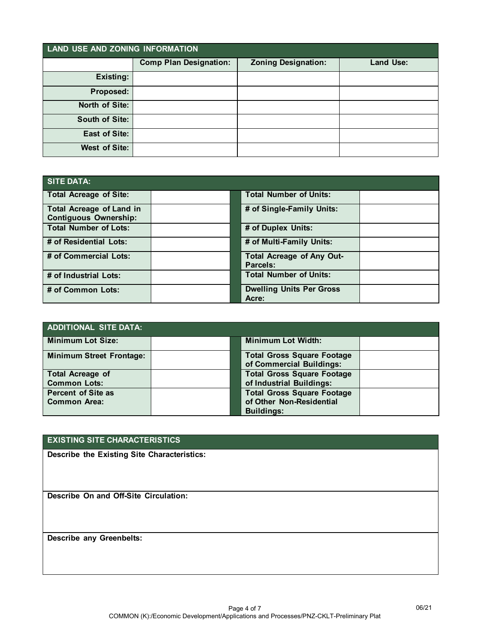| LAND USE AND ZONING INFORMATION |                               |                            |                  |
|---------------------------------|-------------------------------|----------------------------|------------------|
|                                 | <b>Comp Plan Designation:</b> | <b>Zoning Designation:</b> | <b>Land Use:</b> |
| <b>Existing:</b>                |                               |                            |                  |
| Proposed:                       |                               |                            |                  |
| North of Site:                  |                               |                            |                  |
| South of Site:                  |                               |                            |                  |
| <b>East of Site:</b>            |                               |                            |                  |
| <b>West of Site:</b>            |                               |                            |                  |

| SITE DATA:                                                      |  |                                              |  |
|-----------------------------------------------------------------|--|----------------------------------------------|--|
| <b>Total Acreage of Site:</b>                                   |  | <b>Total Number of Units:</b>                |  |
| <b>Total Acreage of Land in</b><br><b>Contiguous Ownership:</b> |  | # of Single-Family Units:                    |  |
| <b>Total Number of Lots:</b>                                    |  | # of Duplex Units:                           |  |
| # of Residential Lots:                                          |  | # of Multi-Family Units:                     |  |
| # of Commercial Lots:                                           |  | <b>Total Acreage of Any Out-</b><br>Parcels: |  |
| # of Industrial Lots:                                           |  | <b>Total Number of Units:</b>                |  |
| # of Common Lots:                                               |  | <b>Dwelling Units Per Gross</b><br>Acre:     |  |

| <b>ADDITIONAL SITE DATA:</b>    |  |                                                               |  |
|---------------------------------|--|---------------------------------------------------------------|--|
| <b>Minimum Lot Size:</b>        |  | <b>Minimum Lot Width:</b>                                     |  |
| <b>Minimum Street Frontage:</b> |  | <b>Total Gross Square Footage</b><br>of Commercial Buildings: |  |
| <b>Total Acreage of</b>         |  | <b>Total Gross Square Footage</b>                             |  |
| <b>Common Lots:</b>             |  | of Industrial Buildings:                                      |  |
| <b>Percent of Site as</b>       |  | <b>Total Gross Square Footage</b>                             |  |
| <b>Common Area:</b>             |  | of Other Non-Residential                                      |  |
|                                 |  | <b>Buildings:</b>                                             |  |

# **EXISTING SITE CHARACTERISTICS**

**Describe the Existing Site Characteristics:**

**Describe On and Off-Site Circulation:**

**Describe any Greenbelts:**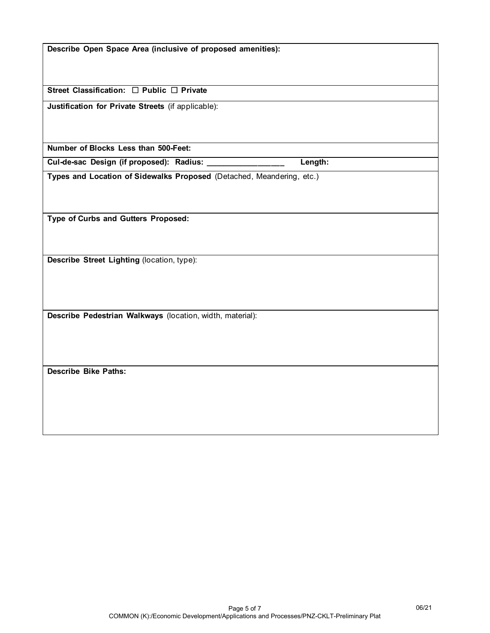| Describe Open Space Area (inclusive of proposed amenities):           |  |  |
|-----------------------------------------------------------------------|--|--|
|                                                                       |  |  |
|                                                                       |  |  |
|                                                                       |  |  |
| Street Classification: □ Public □ Private                             |  |  |
|                                                                       |  |  |
| Justification for Private Streets (if applicable):                    |  |  |
|                                                                       |  |  |
|                                                                       |  |  |
|                                                                       |  |  |
| Number of Blocks Less than 500-Feet:                                  |  |  |
| Length:<br>Cul-de-sac Design (if proposed): Radius:                   |  |  |
| Types and Location of Sidewalks Proposed (Detached, Meandering, etc.) |  |  |
|                                                                       |  |  |
|                                                                       |  |  |
|                                                                       |  |  |
|                                                                       |  |  |
| Type of Curbs and Gutters Proposed:                                   |  |  |
|                                                                       |  |  |
|                                                                       |  |  |
|                                                                       |  |  |
| Describe Street Lighting (location, type):                            |  |  |
|                                                                       |  |  |
|                                                                       |  |  |
|                                                                       |  |  |
|                                                                       |  |  |
| Describe Pedestrian Walkways (location, width, material):             |  |  |
|                                                                       |  |  |
|                                                                       |  |  |
|                                                                       |  |  |
|                                                                       |  |  |
|                                                                       |  |  |
| <b>Describe Bike Paths:</b>                                           |  |  |
|                                                                       |  |  |
|                                                                       |  |  |
|                                                                       |  |  |
|                                                                       |  |  |
|                                                                       |  |  |
|                                                                       |  |  |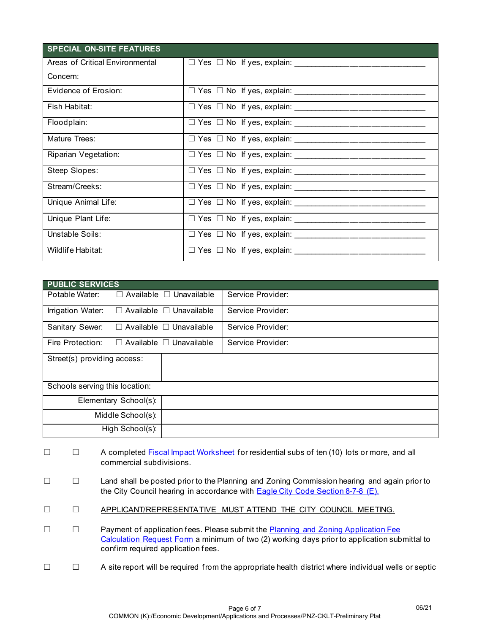| <b>SPECIAL ON-SITE FEATURES</b> |  |  |  |
|---------------------------------|--|--|--|
| Areas of Critical Environmental |  |  |  |
| Concern:                        |  |  |  |
| Evidence of Erosion:            |  |  |  |
| Fish Habitat:                   |  |  |  |
| Floodplain:                     |  |  |  |
| Mature Trees:                   |  |  |  |
| Riparian Vegetation:            |  |  |  |
| Steep Slopes:                   |  |  |  |
| Stream/Creeks:                  |  |  |  |
| Unique Animal Life:             |  |  |  |
| Unique Plant Life:              |  |  |  |
| Unstable Soils:                 |  |  |  |
| Wildlife Habitat:               |  |  |  |

| <b>PUBLIC SERVICES</b>         |                 |                                     |                   |  |
|--------------------------------|-----------------|-------------------------------------|-------------------|--|
| Potable Water:                 |                 | $\Box$ Available $\Box$ Unavailable | Service Provider: |  |
| Irrigation Water:              |                 | $\Box$ Available $\Box$ Unavailable | Service Provider: |  |
| Sanitary Sewer:                |                 | $\Box$ Available $\Box$ Unavailable | Service Provider: |  |
| Fire Protection:               |                 | $\Box$ Available $\Box$ Unavailable | Service Provider: |  |
| Street(s) providing access:    |                 |                                     |                   |  |
| Schools serving this location: |                 |                                     |                   |  |
| Elementary School(s):          |                 |                                     |                   |  |
| Middle School(s):              |                 |                                     |                   |  |
|                                | High School(s): |                                     |                   |  |

- □ □ A complete[d Fiscal Impact Worksheet](https://www.cityofeagle.org/DocumentCenter/View/3884/AP-Fiscal-Impact-Tool-Protocol-UPDATED) for residential subs of ten (10) lots or more, and all commercial subdivisions.
- ☐ ☐ Land shall be posted prior to the Planning and Zoning Commission hearing and again prior to the City Council hearing in accordance with [Eagle City Code Section 8-7-8 \(E\).](https://codelibrary.amlegal.com/codes/eagleid/latest/eagle_id/0-0-0-4335)
- ☐ ☐ APPLICANT/REPRESENTATIVE MUST ATTEND THE CITY COUNCIL MEETING.
- □ □ Payment of application fees. Please submit the Planning and Zoning Application Fee [Calculation Request Form](https://lf.cityofeagle.org/Forms/P-Z-Application-Fee-Request) a minimum of two (2) working days prior to application submittal to confirm required application fees.
- ☐ ☐ A site report will be required from the appropriate health district where individual wells or septic